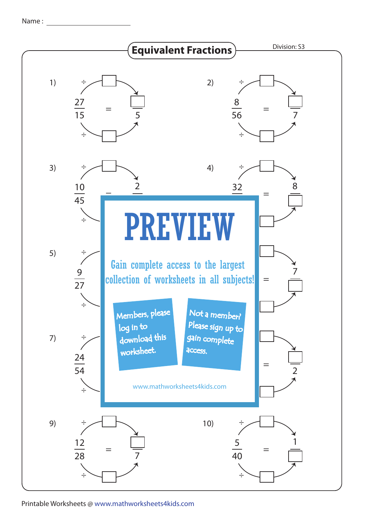